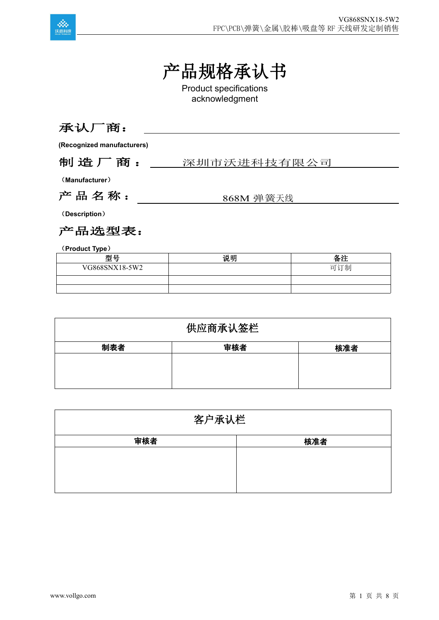

# 产品规格承认书

Product specifications acknowledgment

### 承认厂商:

**(Recognized manufacturers)**

#### 制造厂商: \_\_\_ 深圳市沃进科技有限公司

(**Manufacturer**)

产 品 名 称 : 368M 弹簧天线

(**Description**)

产品选型表:

(**Product Type**)

| 型号             | 说明 | - 22<br>宙社 |
|----------------|----|------------|
| VG868SNX18-5W2 |    | 可订制        |
|                |    |            |
|                |    |            |

| 供应商承认签栏 |     |     |
|---------|-----|-----|
| 制表者     | 审核者 | 核准者 |
|         |     |     |
|         |     |     |
|         |     |     |

| 客户承认栏 |     |  |
|-------|-----|--|
| 审核者   | 核准者 |  |
|       |     |  |
|       |     |  |
|       |     |  |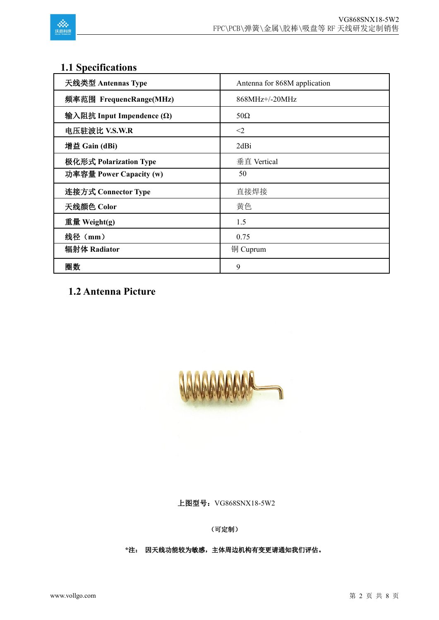

## **1.1 Specifications**

| 天线类型 Antennas Type               | Antenna for 868M application |
|----------------------------------|------------------------------|
| 频率范围 FrequencRange(MHz)          | 868MHz+/-20MHz               |
| 输入阻抗 Input Impendence $(\Omega)$ | $50\Omega$                   |
| 电压驻波比 V.S.W.R                    | $<$ 2                        |
| 增益 Gain (dBi)                    | 2dBi                         |
| 极化形式 Polarization Type           | 垂直 Vertical                  |
| 功率容量 Power Capacity (w)          | 50                           |
| 连接方式 Connector Type              | 直接焊接                         |
| 天线颜色 Color                       | 黄色                           |
| 重量 Weight(g)                     | 1.5                          |
| 线径 (mm)                          | 0.75                         |
| 辐射体 Radiator                     | 铜 Cuprum                     |
| 圈数                               | 9                            |

**1.2 Antenna Picture**



(可定制)

上图型号: VG868SNX18-5W2<br>(可定制)<br>\*注: 因天线功能较为敏感,主体周边机构有变更请通知我们评估。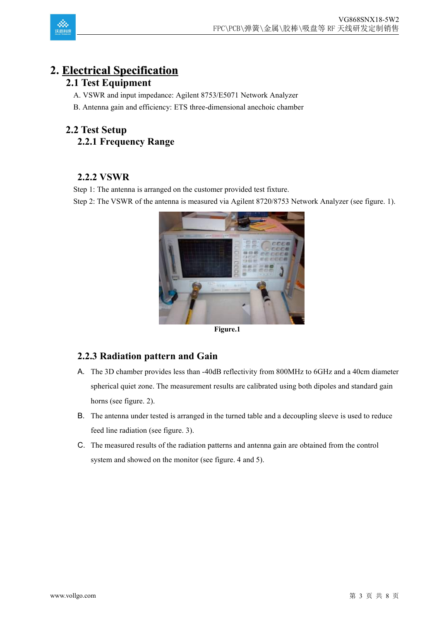

## **2. Electrical Specification**

#### **2.1 Test Equipment**

- A. VSWR and input impedance: Agilent 8753/E5071 Network Analyzer
- B. Antenna gain and efficiency: ETS three-dimensional anechoic chamber

### **2.2 Test Setup 2.2.1 Frequency Range**

#### **2.2.2 VSWR**

Step 1: The antenna is arranged on the customer provided test fixture.

Step 2: The VSWR of the antenna is measured via Agilent 8720/8753 Network Analyzer (see figure. 1).



**Figure.1**

#### **2.2.3 Radiation pattern and Gain**

- A. The 3D chamber provides less than -40dB reflectivity from 800MHz to 6GHz and a 40cm diameter spherical quiet zone. The measurement results are calibrated using both dipoles and standard gain horns (see figure. 2).
- B. The antenna under tested is arranged in the turned table and a decoupling sleeve is used to reduce feed line radiation (see figure.3).
- C. The measured results of the radiation patterns and antenna gain are obtained from the control system and showed on the monitor (see figure. 4 and 5).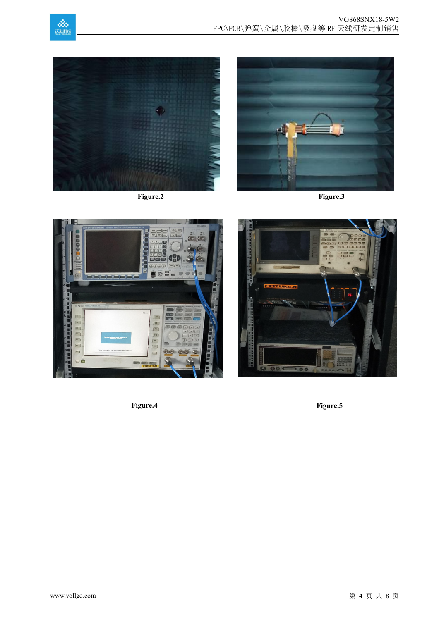









**Figure.4 Figure.5**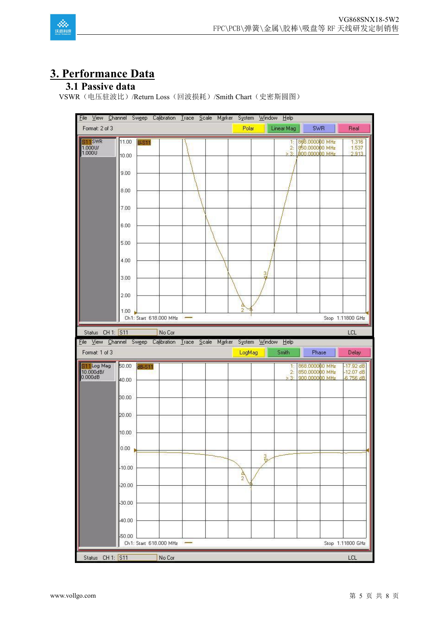

## **3. Performance Data**

#### **3.1 Passive data**

VSWR(电压驻波比)/Return Loss(回波损耗)/Smith Chart(史密斯圆图)

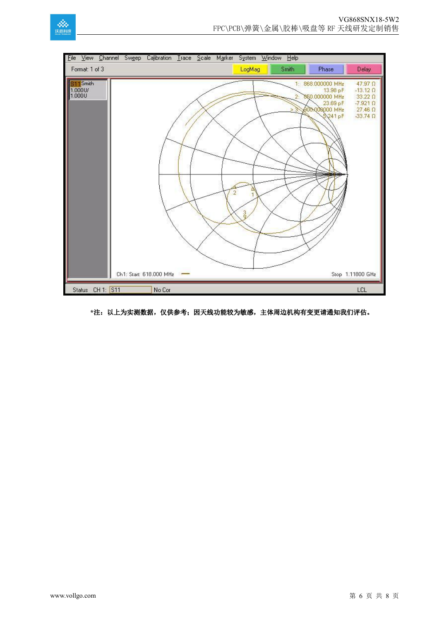





#### **\***注:以上为实测数据,仅供参考;因天线功能较为敏感,主体周边机构有变更请通知我们评估。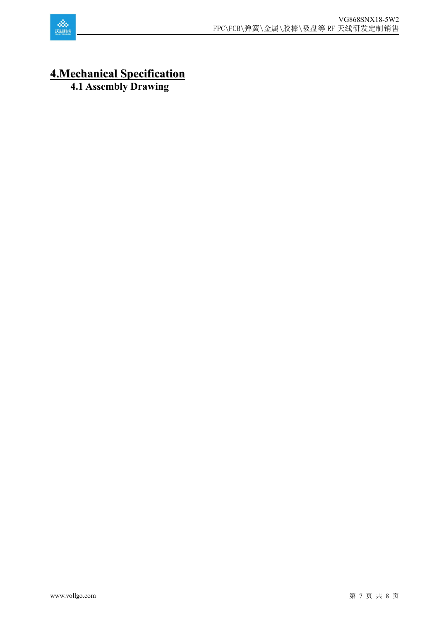

## **4.Mechanical Specification**

**4.1 Assembly Drawing**